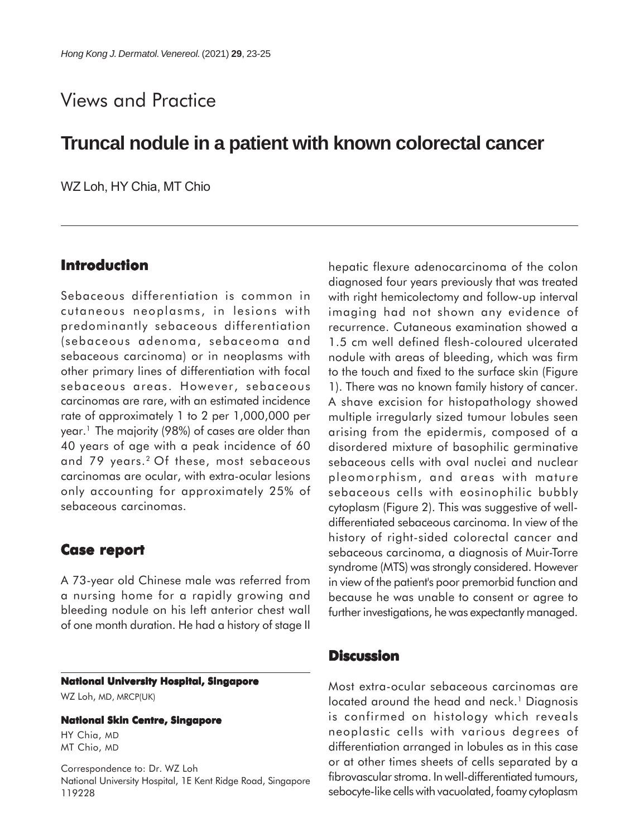# Views and Practice

## **Truncal nodule in a patient with known colorectal cancer**

WZ Loh, HY Chia, MT Chio

## **Introduction**

Sebaceous differentiation is common in cutaneous neoplasms, in lesions with predominantly sebaceous differentiation (sebaceous adenoma, sebaceoma and sebaceous carcinoma) or in neoplasms with other primary lines of differentiation with focal sebaceous areas. However, sebaceous carcinomas are rare, with an estimated incidence rate of approximately 1 to 2 per 1,000,000 per year.<sup>1</sup> The majority (98%) of cases are older than 40 years of age with a peak incidence of 60 and 79 years.<sup>2</sup> Of these, most sebaceous carcinomas are ocular, with extra-ocular lesions only accounting for approximately 25% of sebaceous carcinomas.

## **Case report Case**

A 73-year old Chinese male was referred from a nursing home for a rapidly growing and bleeding nodule on his left anterior chest wall of one month duration. He had a history of stage II

### **National University Hospital, Singapore**

WZ Loh, MD, MRCP(UK)

#### **National Skin Centre, Singapore**

HY Chia, MD MT Chio, MD

Correspondence to: Dr. WZ Loh National University Hospital, 1E Kent Ridge Road, Singapore 119228

hepatic flexure adenocarcinoma of the colon diagnosed four years previously that was treated with right hemicolectomy and follow-up interval imaging had not shown any evidence of recurrence. Cutaneous examination showed a 1.5 cm well defined flesh-coloured ulcerated nodule with areas of bleeding, which was firm to the touch and fixed to the surface skin (Figure 1). There was no known family history of cancer. A shave excision for histopathology showed multiple irregularly sized tumour lobules seen arising from the epidermis, composed of a disordered mixture of basophilic germinative sebaceous cells with oval nuclei and nuclear pleomorphism, and areas with mature sebaceous cells with eosinophilic bubbly cytoplasm (Figure 2). This was suggestive of welldifferentiated sebaceous carcinoma. In view of the history of right-sided colorectal cancer and sebaceous carcinoma, a diagnosis of Muir-Torre syndrome (MTS) was strongly considered. However in view of the patient's poor premorbid function and because he was unable to consent or agree to further investigations, he was expectantly managed.

### **Discussion**

Most extra-ocular sebaceous carcinomas are located around the head and neck.<sup>1</sup> Diagnosis is confirmed on histology which reveals neoplastic cells with various degrees of differentiation arranged in lobules as in this case or at other times sheets of cells separated by a fibrovascular stroma. In well-differentiated tumours, sebocyte-like cells with vacuolated, foamy cytoplasm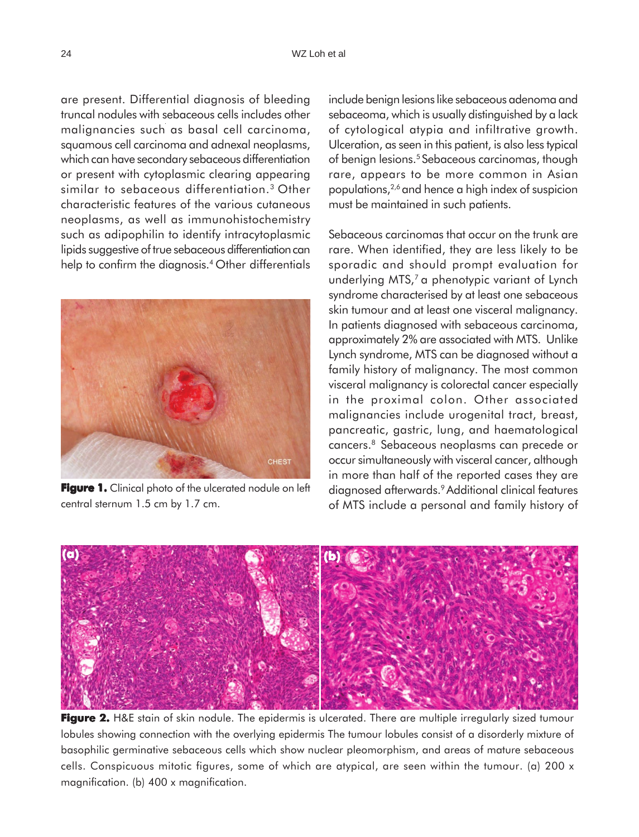are present. Differential diagnosis of bleeding truncal nodules with sebaceous cells includes other malignancies such as basal cell carcinoma, squamous cell carcinoma and adnexal neoplasms, which can have secondary sebaceous differentiation or present with cytoplasmic clearing appearing similar to sebaceous differentiation.3 Other characteristic features of the various cutaneous neoplasms, as well as immunohistochemistry such as adipophilin to identify intracytoplasmic lipids suggestive of true sebaceous differentiation can help to confirm the diagnosis.<sup>4</sup> Other differentials



**Figure 1.** Clinical photo of the ulcerated nodule on left central sternum 1.5 cm by 1.7 cm.

include benign lesions like sebaceous adenoma and sebaceoma, which is usually distinguished by a lack of cytological atypia and infiltrative growth. Ulceration, as seen in this patient, is also less typical of benign lesions.<sup>5</sup> Sebaceous carcinomas, though rare, appears to be more common in Asian populations,2,6 and hence a high index of suspicion must be maintained in such patients.

Sebaceous carcinomas that occur on the trunk are rare. When identified, they are less likely to be sporadic and should prompt evaluation for underlying MTS,<sup>7</sup> a phenotypic variant of Lynch syndrome characterised by at least one sebaceous skin tumour and at least one visceral malignancy. In patients diagnosed with sebaceous carcinoma, approximately 2% are associated with MTS. Unlike Lynch syndrome, MTS can be diagnosed without a family history of malignancy. The most common visceral malignancy is colorectal cancer especially in the proximal colon. Other associated malignancies include urogenital tract, breast, pancreatic, gastric, lung, and haematological cancers.8 Sebaceous neoplasms can precede or occur simultaneously with visceral cancer, although in more than half of the reported cases they are diagnosed afterwards.9 Additional clinical features of MTS include a personal and family history of



Figure 2. H&E stain of skin nodule. The epidermis is ulcerated. There are multiple irregularly sized tumour lobules showing connection with the overlying epidermis The tumour lobules consist of a disorderly mixture of basophilic germinative sebaceous cells which show nuclear pleomorphism, and areas of mature sebaceous cells. Conspicuous mitotic figures, some of which are atypical, are seen within the tumour. (a) 200 x magnification. (b) 400 x magnification.